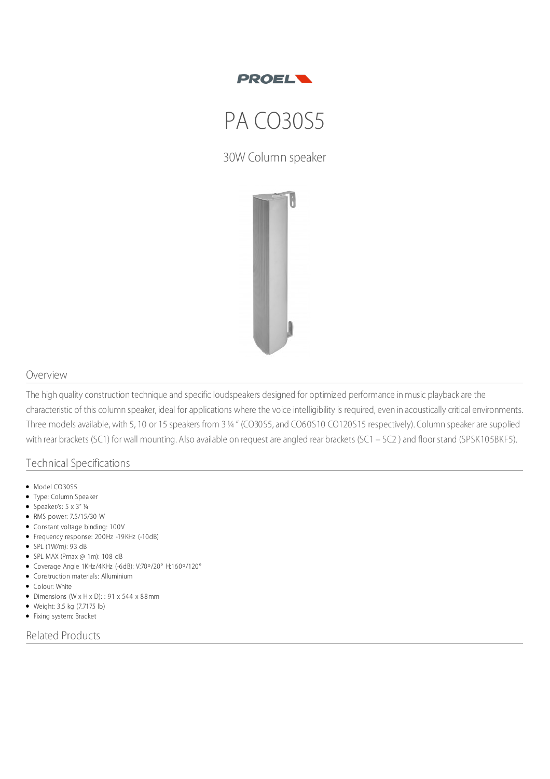

## PA CO30S5

30W Column speaker



## Overview

The high quality construction technique and specific loudspeakers designed for optimized performance in music playback are the characteristic of this column speaker, ideal for applications where the voice intelligibility is required, even in acoustically critical environments. Three models available, with 5, 10 or 15 speakers from 3¼ " (CO30S5, and CO60S10 CO120S15 respectively). Column speaker are supplied with rear brackets (SC1) for wall mounting. Also available on request are angled rear brackets (SC1 – SC2 ) and floor stand (SPSK105BKF5).

## Technical Specifications

- $\bullet$  Model CO30S5
- Type: Column Speaker
- Speaker/s:  $5 \times 3''$  1/4
- RMS power: 7.5/15/30 W Constant voltage binding: 100V
- Frequency response: 200Hz -19KHz (-10dB)
- SPL (1W/m): 93 dB
- $\bullet$  SPL MAX (Pmax @ 1m): 108 dB
- Coverage Angle 1KHz/4KHz (-6dB): V:70º/20° H:160º/120°
- Construction materials: Alluminium
- Colour: White
- $\bullet$  Dimensions (W x H x D): : 91 x 544 x 88mm
- Weight: 3.5 kg (7.7175 lb)
- Fixing system: Bracket